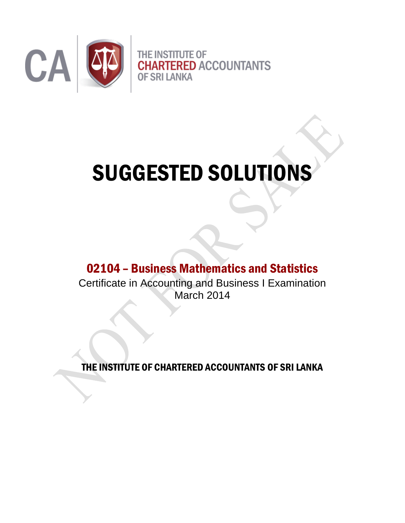

# SUGGESTED SOLUTIONS

02104 – Business Mathematics and Statistics

Certificate in Accounting and Business I Examination March 2014

THE INSTITUTE OF CHARTERED ACCOUNTANTS OF SRI LANKA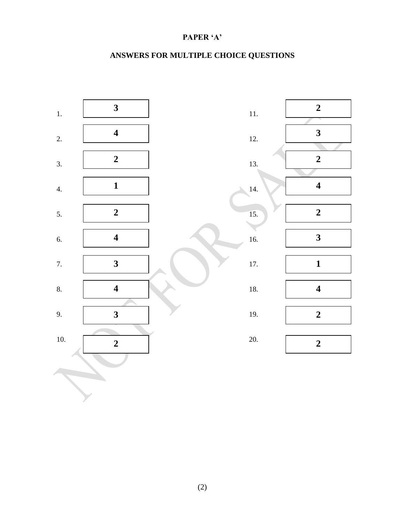## **PAPER 'A'**

# **ANSWERS FOR MULTIPLE CHOICE QUESTIONS**

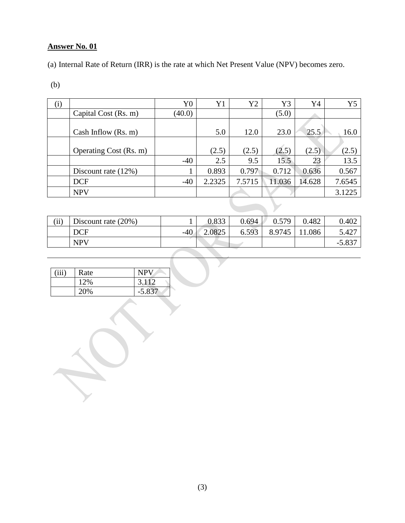(a) Internal Rate of Return (IRR) is the rate at which Net Present Value (NPV) becomes zero.

(b)

| (i) |                        | Y <sub>0</sub> | Y1     | Y2     | Y3     | Y4     | Y5     |
|-----|------------------------|----------------|--------|--------|--------|--------|--------|
|     | Capital Cost (Rs. m)   | (40.0)         |        |        | (5.0)  |        |        |
|     | Cash Inflow $(Rs. m)$  |                | 5.0    | 12.0   | 23.0   | 25.5   | 16.0   |
|     | Operating Cost (Rs. m) |                | (2.5)  | (2.5)  | (2.5)  | (2.5)  | (2.5)  |
|     |                        | $-40$          | 2.5    | 9.5    | 15.5   | 23     | 13.5   |
|     | Discount rate $(12\%)$ |                | 0.893  | 0.797  | 0.712  | 0.636  | 0.567  |
|     | <b>DCF</b>             | $-40$          | 2.2325 | 7.5715 | 11.036 | 14.628 | 7.6545 |
|     | <b>NPV</b>             |                |        |        |        |        | 3.1225 |

| $\rm (ii)$ | Discount rate $(20\%)$ |       | 0.833  | 0.694 | 0.579  | 0.482 | 0.402       |
|------------|------------------------|-------|--------|-------|--------|-------|-------------|
|            | <b>DCF</b>             | $-40$ | 2.0825 | 6.593 | 8.9745 | .086  | 5.427       |
|            | <b>NPV</b>             |       |        |       |        |       | $-5.83^{-}$ |

 $\mathbf{r}$ 

| (iii) | Rate | NPV      |
|-------|------|----------|
|       | 12%  | 3.112    |
|       | 20%  | $-5.837$ |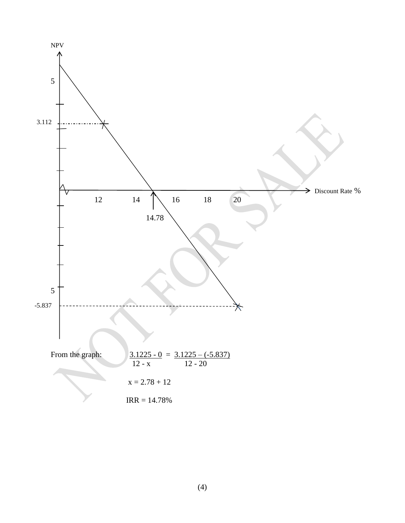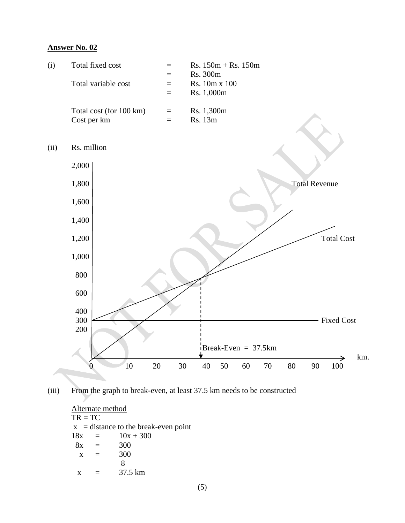



Alternate method  $TR = TC$  $x =$  distance to the break-even point  $18x = 10x + 300$  $8x = 300$  $x = 300$  8  $x = 37.5 \text{ km}$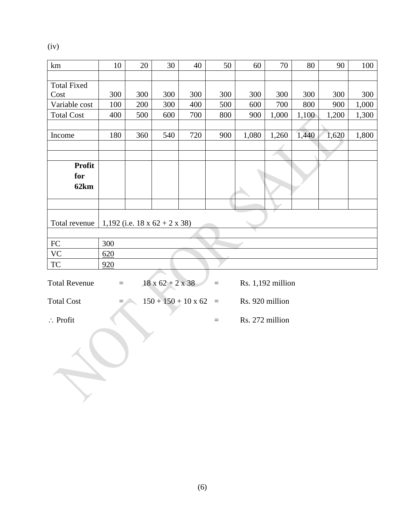(iv)

| km                                            | 10                                         | 20  | 30                           | 40  | 50       | 60                | 70    | 80    | 90    | 100   |
|-----------------------------------------------|--------------------------------------------|-----|------------------------------|-----|----------|-------------------|-------|-------|-------|-------|
|                                               |                                            |     |                              |     |          |                   |       |       |       |       |
| <b>Total Fixed</b>                            |                                            |     |                              |     |          |                   |       |       |       |       |
| Cost                                          | 300                                        | 300 | 300                          | 300 | 300      | 300               | 300   | 300   | 300   | 300   |
| Variable cost                                 | 100                                        | 200 | 300                          | 400 | 500      | 600               | 700   | 800   | 900   | 1,000 |
| <b>Total Cost</b>                             | 400                                        | 500 | 600                          | 700 | 800      | 900               | 1,000 | 1,100 | 1,200 | 1,300 |
| Income                                        | 180                                        | 360 | 540                          | 720 | 900      | 1,080             | 1,260 | 1,440 | 1,620 | 1,800 |
|                                               |                                            |     |                              |     |          |                   |       |       |       |       |
|                                               |                                            |     |                              |     |          |                   |       |       |       |       |
| Profit                                        |                                            |     |                              |     |          |                   |       |       |       |       |
| for                                           |                                            |     |                              |     |          |                   |       |       |       |       |
| 62km                                          |                                            |     |                              |     |          |                   |       |       |       |       |
|                                               |                                            |     |                              |     |          |                   |       |       |       |       |
| Total revenue                                 | 1,192 (i.e. $18 \times 62 + 2 \times 38$ ) |     |                              |     |          |                   |       |       |       |       |
|                                               |                                            |     |                              |     |          |                   |       |       |       |       |
| ${\rm FC}$                                    | 300                                        |     |                              |     |          |                   |       |       |       |       |
| <b>VC</b>                                     | 620                                        |     |                              |     |          |                   |       |       |       |       |
| <b>TC</b>                                     | 920                                        |     |                              |     |          |                   |       |       |       |       |
| <b>Total Revenue</b>                          | $\equiv$                                   |     | $18 \times 62 + 2 \times 38$ |     | $\equiv$ | Rs. 1,192 million |       |       |       |       |
| <b>Total Cost</b>                             |                                            |     | $150 + 150 + 10 \times 62$   |     | $\equiv$ | Rs. 920 million   |       |       |       |       |
| Rs. 272 million<br>$\therefore$ Profit<br>$=$ |                                            |     |                              |     |          |                   |       |       |       |       |
|                                               |                                            |     |                              |     |          |                   |       |       |       |       |
|                                               |                                            |     |                              |     |          |                   |       |       |       |       |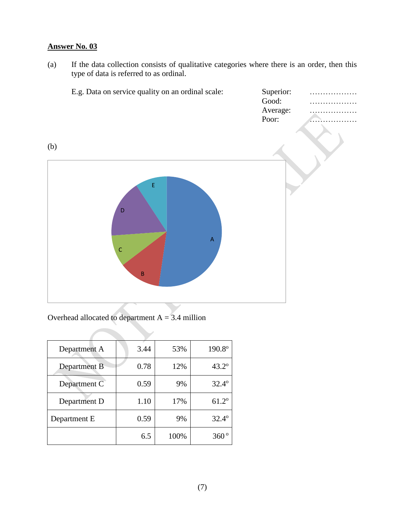(a) If the data collection consists of qualitative categories where there is an order, then this type of data is referred to as ordinal.

|     | E.g. Data on service quality on an ordinal scale:                                                                              | Superior:<br>Good:<br>Average:<br>Poor: |  |
|-----|--------------------------------------------------------------------------------------------------------------------------------|-----------------------------------------|--|
| (b) | $\mathsf{E}% _{0}\left( t\right) \equiv\mathsf{E}_{\mathrm{H}}\left( t\right)$<br>D<br>$\mathsf{A}$<br>$\mathsf C$<br>$\sf{B}$ |                                         |  |

Overhead allocated to department  $A = 3.4$  million

| Department A | 3.44 | 53%  | 190.8°         |
|--------------|------|------|----------------|
| Department B | 0.78 | 12%  | $43.2^{\circ}$ |
| Department C | 0.59 | 9%   | $32.4^{\circ}$ |
| Department D | 1.10 | 17%  | $61.2^{\circ}$ |
| Department E | 0.59 | 9%   | $32.4^{\circ}$ |
|              | 6.5  | 100% | 360°           |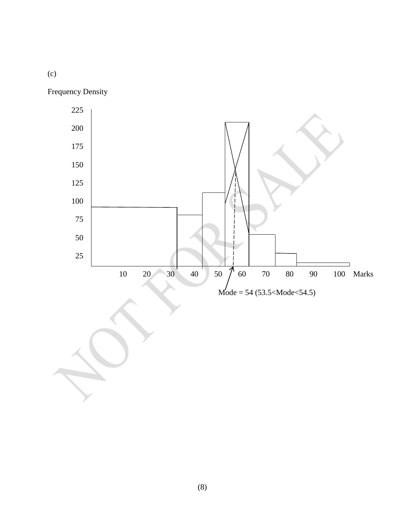(c)

Frequency Density



(8)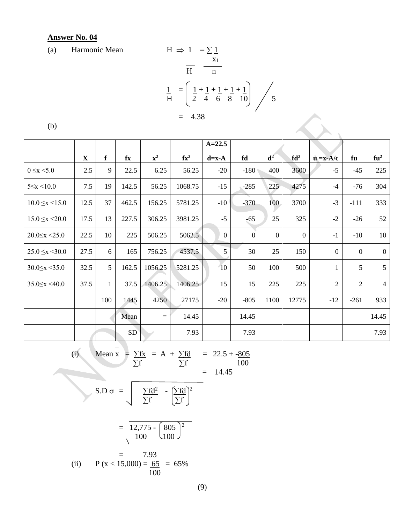(a) Harmonic Mean  $H \Rightarrow 1 = \sum 1$ 

(a) Harmonic Mean  
\n
$$
H \Rightarrow 1 = 2 \pm \frac{x_1}{H}
$$
\n
$$
\frac{1}{H} = \left(\frac{1}{2} + \frac{1}{4} + \frac{1}{4} + \frac{1}{4}\right) \frac{1}{5}
$$
\n
$$
= 4.38
$$

 $\left\langle \right\rangle$ 

| I<br>۰.<br>M.<br>ł<br>٠<br>ł |
|------------------------------|
|------------------------------|

|                         |              |     |                |                |                           | $A = 22.5$     |                |                |                 |                                                   |                |                |
|-------------------------|--------------|-----|----------------|----------------|---------------------------|----------------|----------------|----------------|-----------------|---------------------------------------------------|----------------|----------------|
|                         | $\mathbf{X}$ | f   | fx             | $\mathbf{x}^2$ | $\mathbf{f} \mathbf{x}^2$ | $d=x-A$        | fd             | $d^2$          | fd <sup>2</sup> | $\mathbf{u} = \mathbf{x} - \mathbf{A}/\mathbf{c}$ | fu             | $fu^2$         |
| $0 \le x \le 5.0$       | 2.5          | 9   | 22.5           | 6.25           | 56.25                     | $-20$          | $-180$         | 400            | 3600            | $-5$                                              | $-45$          | 225            |
| $5 \le x \le 10.0$      | 7.5          | 19  | 142.5          | 56.25          | 1068.75                   | $-15$          | $-285$         | 225            | 4275            | $-4$                                              | $-76$          | 304            |
| $10.0 \leq x \leq 15.0$ | 12.5         | 37  | 462.5          | 156.25         | 5781.25                   | $-10$          | $-370$         | 100            | 3700            | $-3$                                              | $-111$         | 333            |
| $15.0 \leq x \leq 20.0$ | 17.5         | 13  | 227.5          | 306.25         | 3981.25                   | $-5$           | $-65$          | 25             | 325             | $-2$                                              | $-26$          | 52             |
| $20.0 \leq x \leq 25.0$ | 22.5         | 10  | 225            | 506.25         | 5062.5                    | $\overline{0}$ | $\overline{0}$ | $\overline{0}$ | $\mathbf{0}$    | $-1$                                              | $-10$          | 10             |
| $25.0 \leq x \leq 30.0$ | 27.5         | 6   | 165            | 756.25         | 4537.5                    | 5              | 30             | 25             | 150             | $\overline{0}$                                    | $\overline{0}$ | $\overline{0}$ |
| $30.0 \leq x \leq 35.0$ | 32.5         | 5   | 162.5          | 1056.25        | 5281.25                   | 10             | 50             | 100            | 500             | $\mathbf{1}$                                      | 5              | 5              |
| $35.0 \leq x \leq 40.0$ | 37.5         | 1   | 37.5           | 1406.25        | 1406.25                   | 15             | 15             | 225            | 225             | $\overline{2}$                                    | $\overline{2}$ | $\overline{4}$ |
|                         |              | 100 | 1445           | 4250           | 27175                     | $-20$          | $-805$         | 1100           | 12775           | $-12$                                             | $-261$         | 933            |
|                         |              |     | Mean           | $\equiv$       | 14.45                     |                | 14.45          |                |                 |                                                   |                | 14.45          |
|                         |              |     | S <sub>D</sub> |                | 7.93                      |                | 7.93           |                |                 |                                                   |                | 7.93           |

 $\sim$   $\sim$   $\sim$   $\sim$   $\sim$   $\sim$ (i) Mean  $x = \sum fx = A + \sum fd = 22.5 + -805$  $\sum$ f 100  $=$  14.45  $S.D \sigma = \frac{\sum fd^2}{\sum fd^2} - \frac{\sum fd}{2}$ 

 $\sum$ f  $\sum$ f

$$
= \frac{12,775 - 805}{100} = \frac{805}{100} = 7.93
$$
  
(ii) P (x < 15,000) =  $\frac{65}{100} = 65\%$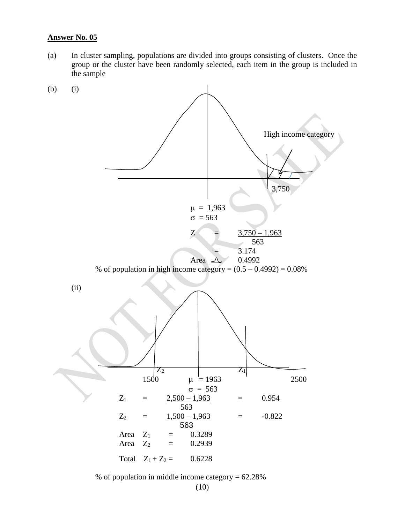(a) In cluster sampling, populations are divided into groups consisting of clusters. Once the group or the cluster have been randomly selected, each item in the group is included in the sample



% of population in middle income category = 62.28%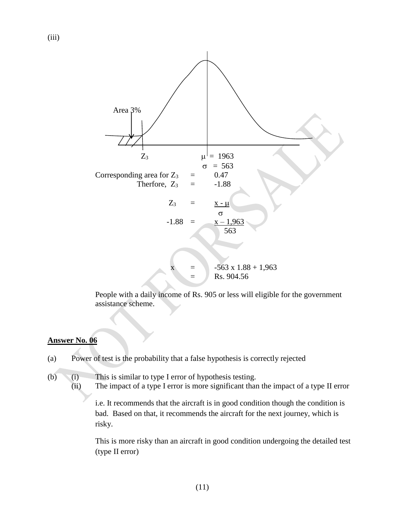

People with a daily income of Rs. 905 or less will eligible for the government assistance scheme.

#### **Answer No. 06**

- (a) Power of test is the probability that a false hypothesis is correctly rejected
- (b) (i) This is similar to type I error of hypothesis testing. (ii) The impact of a type I error is more significant than the impact of a type II error

i.e. It recommends that the aircraft is in good condition though the condition is bad. Based on that, it recommends the aircraft for the next journey, which is risky.

This is more risky than an aircraft in good condition undergoing the detailed test (type II error)

(iii)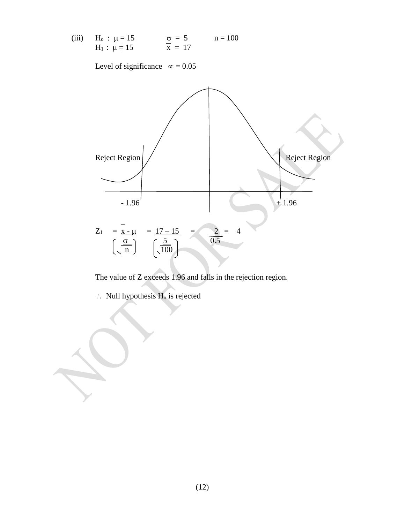(iii) 
$$
H_0: \mu = 15
$$
  $\sigma = 5$   $n = 100$   
 $H_1: \mu \neq 15$   $\sigma = 5$   $n = 100$ 

Level of significance  $\infty = 0.05$ 



The value of Z exceeds 1.96 and falls in the rejection region.

 $\therefore$  Null hypothesis H<sub>o</sub> is rejected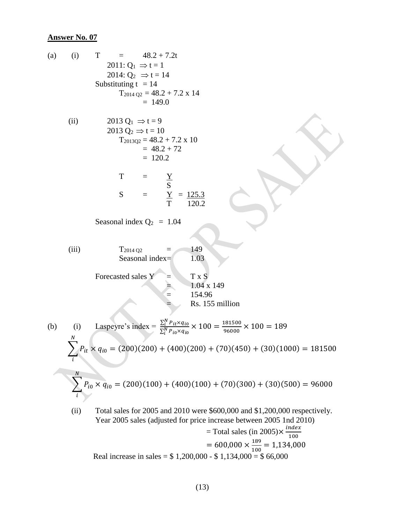(a) (i) 
$$
T = 48.2 + 7.2t
$$
  
\n2011: Q<sub>1</sub> = 2 + 1  
\n2014: Q<sub>2</sub>  $\Rightarrow t = 14$   
\nSubstituting t = 14  
\n $T_{2014 Q2} = 48.2 + 7.2 \times 14$   
\n $= 149.0$   
\n(ii) 2013 Q<sub>1</sub>  $\Rightarrow t = 9$   
\n2013 Q<sub>2</sub>  $\Rightarrow t = 10$   
\n $T_{2013 Q2} = 48.2 + 7.2 \times 10$   
\n $= 48.2 + 7.2 \times 10$   
\n $= 48.2 + 7.2 \times 10$   
\n $= 120.2$   
\nT =  $\frac{Y}{S}$   
\nS =  $\frac{Y}{T} = \frac{125.3}{120.2}$   
\nSessonal index Q<sub>2</sub> = 1.04  
\n(iii)  $T_{2014 Q2} = 1.03$   
\nForccasted sales  $Y = T \times S$   
\n $= 154.96$   
\nRs. 155 million  
\n(b) (i) Lasperyre's index =  $\frac{\sum_{i=1}^{N} P_{ii} \times q_{i0}}{1.400} \times 100 = \frac{181500}{90000} \times 100 = 189$   
\n $\sum_{i=1}^{N} P_{ii} \times q_{i0} = (200)(200) + (400)(200) + (70)(450) + (30)(1000) = 181500$   
\n $\sum_{i=1}^{N} P_{i0} \times q_{i0} = (200)(100) + (400)(100) + (70)(300) + (30)(500) = 96000$   
\n(iii) Total sales for 2005 and 2010 were 5600,000 and \$1,200,000 respectively.  
\nYear 2005 sales (adjusted for price increase between 20005 and 2010)  
\nReal increase in sales = \$ 1,200,000 - \$ 1,134,000 = \$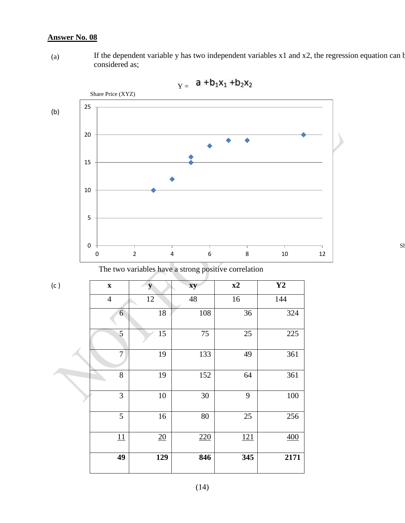(a) If the dependent variable y has two independent variables x1 and x2, the regression equation can be considered as;





The two variables have a strong positive correlation

| (c) | $\boldsymbol{\mathrm{X}}$ | y   | xy     | x2  | Y2   |
|-----|---------------------------|-----|--------|-----|------|
|     | $\overline{4}$            | 12  | 48     | 16  | 144  |
|     | $6\overline{6}$           | 18  | 108    | 36  | 324  |
|     | 5                         | 15  | 75     | 25  | 225  |
|     | 7                         | 19  | 133    | 49  | 361  |
|     | $8\,$                     | 19  | 152    | 64  | 361  |
|     | $\mathfrak{Z}$            | 10  | $30\,$ | 9   | 100  |
|     | 5                         | 16  | 80     | 25  | 256  |
|     | 11                        | 20  | 220    | 121 | 400  |
|     | 49                        | 129 | 846    | 345 | 2171 |

 $\rm S$ ł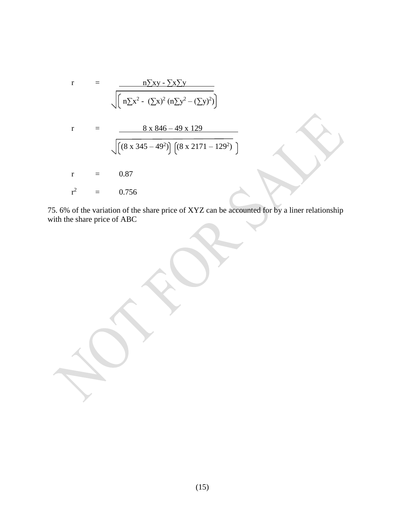r = 
$$
\frac{n \sum xy - \sum x \sum y}{\left[n \sum x^2 - (\sum x)^2 (n \sum y^2 - (\sum y)^2)\right]}
$$
  
r =  $\frac{8 \times 846 - 49 \times 129}{\left[\left((8 \times 345 - 49^2)\right) \left[(8 \times 2171 - 129^2)\right]\right]}$   
r = 0.87  
r<sup>2</sup> = 0.756

75. 6% of the variation of the share price of XYZ can be accounted for by a liner relationship with the share price of ABC